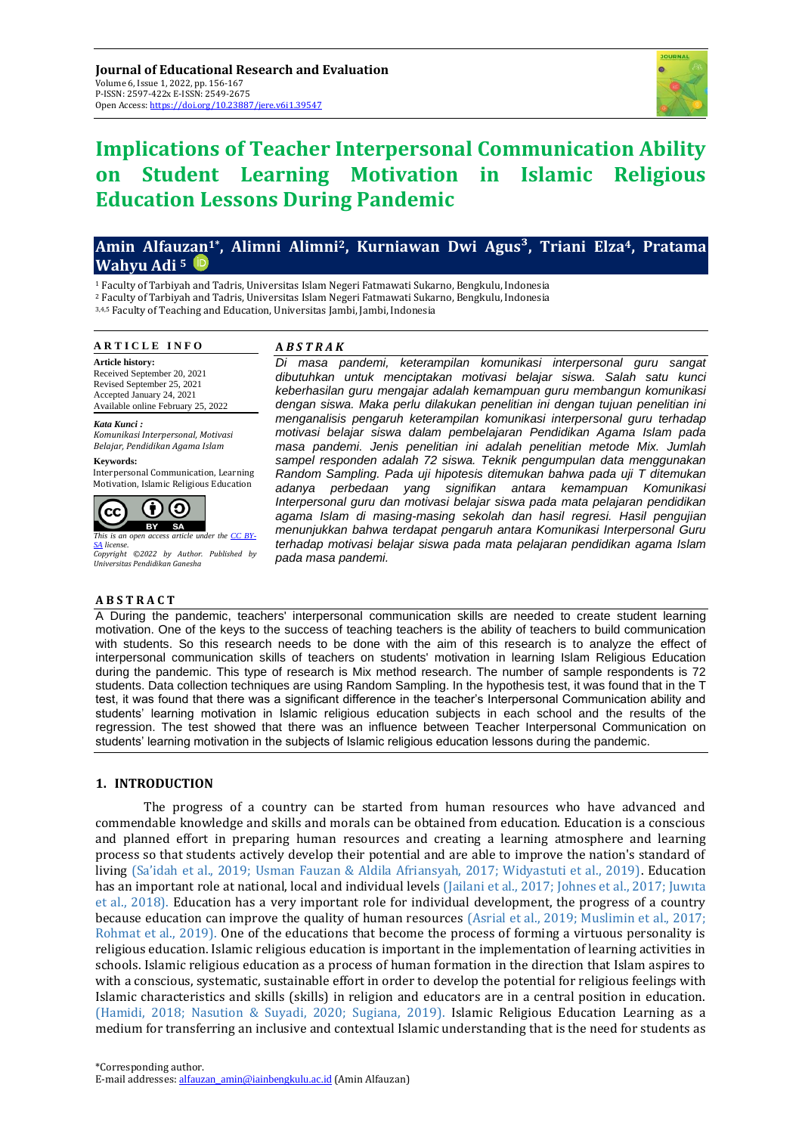

# **Implications of Teacher Interpersonal Communication Ability on Student Learning Motivation in Islamic Religious Education Lessons During Pandemic**

# **Amin Alfauzan1\* , Alimni Alimni2, Kurniawan Dwi Agus³, Triani Elza4, Pratama Wahyu Adi <sup>5</sup>**

<sup>1</sup> Faculty of Tarbiyah and Tadris, Universitas Islam Negeri Fatmawati Sukarno, Bengkulu, Indonesia

<sup>2</sup> Faculty of Tarbiyah and Tadris, Universitas Islam Negeri Fatmawati Sukarno, Bengkulu, Indonesia

3,4,5 Faculty of Teaching and Education, Universitas Jambi, Jambi, Indonesia

#### **A R T I C L E I N F O**

**Article history:** Received September 20, 2021 Revised September 25, 2021 Accepted January 24, 2021 Available online February 25, 2022

*Kata Kunci : Komunikasi Interpersonal, Motivasi* 

*Belajar, Pendidikan Agama Islam* **Keywords:**

Interpersonal Communication, Learning Motivation, Islamic Religious Education



*This is an open access article under the [CC BY-](https://creativecommons.org/licenses/by-sa/4.0/)[SA](https://creativecommons.org/licenses/by-sa/4.0/) license. Copyright ©2022 by Author. Published by Universitas Pendidikan Ganesha*

#### **A B S T R A C T**

## **A** *B S T R A K*

*Di masa pandemi, keterampilan komunikasi interpersonal guru sangat dibutuhkan untuk menciptakan motivasi belajar siswa. Salah satu kunci keberhasilan guru mengajar adalah kemampuan guru membangun komunikasi dengan siswa. Maka perlu dilakukan penelitian ini dengan tujuan penelitian ini menganalisis pengaruh keterampilan komunikasi interpersonal guru terhadap motivasi belajar siswa dalam pembelajaran Pendidikan Agama Islam pada masa pandemi. Jenis penelitian ini adalah penelitian metode Mix. Jumlah sampel responden adalah 72 siswa. Teknik pengumpulan data menggunakan Random Sampling. Pada uji hipotesis ditemukan bahwa pada uji T ditemukan adanya perbedaan yang signifikan antara kemampuan Komunikasi Interpersonal guru dan motivasi belajar siswa pada mata pelajaran pendidikan agama Islam di masing-masing sekolah dan hasil regresi. Hasil pengujian menunjukkan bahwa terdapat pengaruh antara Komunikasi Interpersonal Guru terhadap motivasi belajar siswa pada mata pelajaran pendidikan agama Islam pada masa pandemi.*

A During the pandemic, teachers' interpersonal communication skills are needed to create student learning motivation. One of the keys to the success of teaching teachers is the ability of teachers to build communication with students. So this research needs to be done with the aim of this research is to analyze the effect of interpersonal communication skills of teachers on students' motivation in learning Islam Religious Education during the pandemic. This type of research is Mix method research. The number of sample respondents is 72 students. Data collection techniques are using Random Sampling. In the hypothesis test, it was found that in the T test, it was found that there was a significant difference in the teacher's Interpersonal Communication ability and students' learning motivation in Islamic religious education subjects in each school and the results of the regression. The test showed that there was an influence between Teacher Interpersonal Communication on students' learning motivation in the subjects of Islamic religious education lessons during the pandemic.

# **1. INTRODUCTION**

The progress of a country can be started from human resources who have advanced and commendable knowledge and skills and morals can be obtained from education. Education is a conscious and planned effort in preparing human resources and creating a learning atmosphere and learning process so that students actively develop their potential and are able to improve the nation's standard of living (Sa'idah et al., 2019; Usman Fauzan & Aldila Afriansyah, 2017; Widyastuti et al., 2019). Education has an important role at national, local and individual levels (Jailani et al., 2017; Johnes et al., 2017; Juwita et al., 2018). Education has a very important role for individual development, the progress of a country because education can improve the quality of human resources (Asrial et al., 2019; Muslimin et al., 2017; Rohmat et al., 2019). One of the educations that become the process of forming a virtuous personality is religious education. Islamic religious education is important in the implementation of learning activities in schools. Islamic religious education as a process of human formation in the direction that Islam aspires to with a conscious, systematic, sustainable effort in order to develop the potential for religious feelings with Islamic characteristics and skills (skills) in religion and educators are in a central position in education. (Hamidi, 2018; Nasution & Suyadi, 2020; Sugiana, 2019). Islamic Religious Education Learning as a medium for transferring an inclusive and contextual Islamic understanding that is the need for students as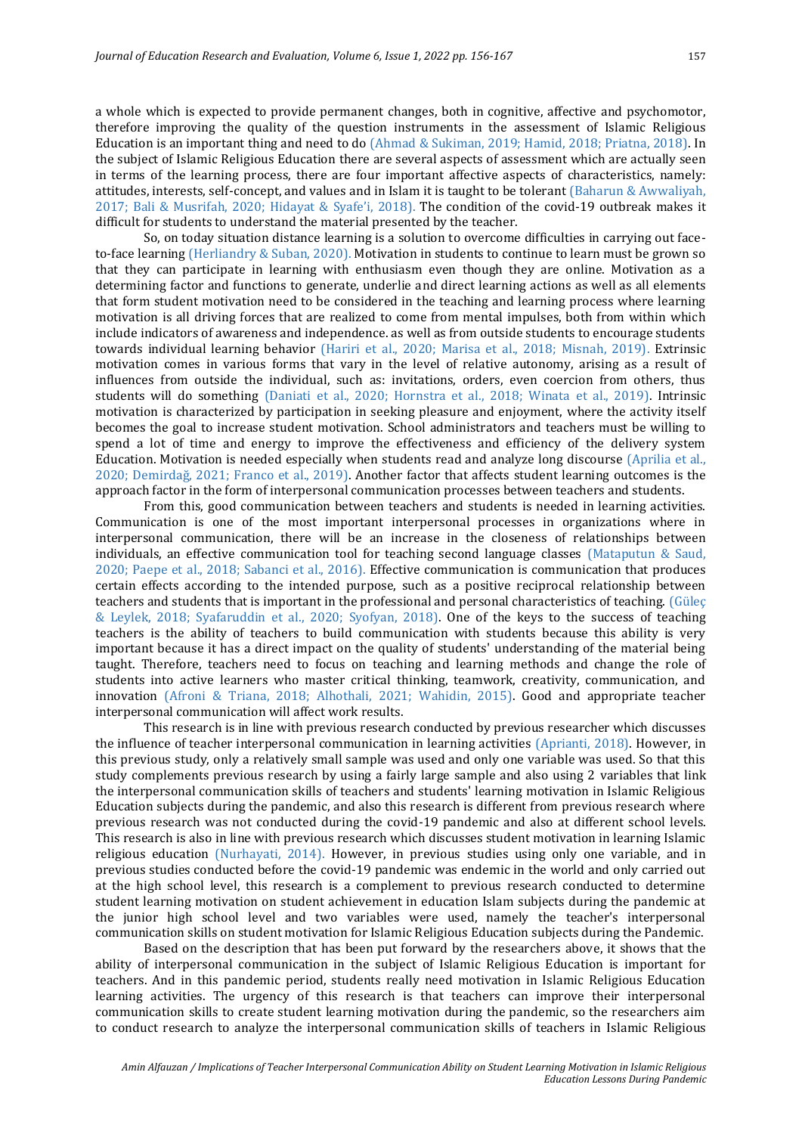a whole which is expected to provide permanent changes, both in cognitive, affective and psychomotor, therefore improving the quality of the question instruments in the assessment of Islamic Religious Education is an important thing and need to do (Ahmad & Sukiman, 2019; Hamid, 2018; Priatna, 2018). In the subject of Islamic Religious Education there are several aspects of assessment which are actually seen in terms of the learning process, there are four important affective aspects of characteristics, namely: attitudes, interests, self-concept, and values and in Islam it is taught to be tolerant (Baharun & Awwaliyah, 2017; Bali & Musrifah, 2020; Hidayat & Syafe'i, 2018). The condition of the covid-19 outbreak makes it difficult for students to understand the material presented by the teacher.

So, on today situation distance learning is a solution to overcome difficulties in carrying out faceto-face learning (Herliandry & Suban, 2020). Motivation in students to continue to learn must be grown so that they can participate in learning with enthusiasm even though they are online. Motivation as a determining factor and functions to generate, underlie and direct learning actions as well as all elements that form student motivation need to be considered in the teaching and learning process where learning motivation is all driving forces that are realized to come from mental impulses, both from within which include indicators of awareness and independence. as well as from outside students to encourage students towards individual learning behavior (Hariri et al., 2020; Marisa et al., 2018; Misnah, 2019). Extrinsic motivation comes in various forms that vary in the level of relative autonomy, arising as a result of influences from outside the individual, such as: invitations, orders, even coercion from others, thus students will do something (Daniati et al., 2020; Hornstra et al., 2018; Winata et al., 2019). Intrinsic motivation is characterized by participation in seeking pleasure and enjoyment, where the activity itself becomes the goal to increase student motivation. School administrators and teachers must be willing to spend a lot of time and energy to improve the effectiveness and efficiency of the delivery system Education. Motivation is needed especially when students read and analyze long discourse (Aprilia et al., 2020; Demirdağ, 2021; Franco et al., 2019). Another factor that affects student learning outcomes is the approach factor in the form of interpersonal communication processes between teachers and students.

From this, good communication between teachers and students is needed in learning activities. Communication is one of the most important interpersonal processes in organizations where in interpersonal communication, there will be an increase in the closeness of relationships between individuals, an effective communication tool for teaching second language classes (Mataputun & Saud, 2020; Paepe et al., 2018; Sabanci et al., 2016). Effective communication is communication that produces certain effects according to the intended purpose, such as a positive reciprocal relationship between teachers and students that is important in the professional and personal characteristics of teaching. (Güleç & Leylek, 2018; Syafaruddin et al., 2020; Syofyan, 2018). One of the keys to the success of teaching teachers is the ability of teachers to build communication with students because this ability is very important because it has a direct impact on the quality of students' understanding of the material being taught. Therefore, teachers need to focus on teaching and learning methods and change the role of students into active learners who master critical thinking, teamwork, creativity, communication, and innovation (Afroni & Triana, 2018; Alhothali, 2021; Wahidin, 2015). Good and appropriate teacher interpersonal communication will affect work results.

This research is in line with previous research conducted by previous researcher which discusses the influence of teacher interpersonal communication in learning activities (Aprianti, 2018). However, in this previous study, only a relatively small sample was used and only one variable was used. So that this study complements previous research by using a fairly large sample and also using 2 variables that link the interpersonal communication skills of teachers and students' learning motivation in Islamic Religious Education subjects during the pandemic, and also this research is different from previous research where previous research was not conducted during the covid-19 pandemic and also at different school levels. This research is also in line with previous research which discusses student motivation in learning Islamic religious education (Nurhayati, 2014). However, in previous studies using only one variable, and in previous studies conducted before the covid-19 pandemic was endemic in the world and only carried out at the high school level, this research is a complement to previous research conducted to determine student learning motivation on student achievement in education Islam subjects during the pandemic at the junior high school level and two variables were used, namely the teacher's interpersonal communication skills on student motivation for Islamic Religious Education subjects during the Pandemic.

Based on the description that has been put forward by the researchers above, it shows that the ability of interpersonal communication in the subject of Islamic Religious Education is important for teachers. And in this pandemic period, students really need motivation in Islamic Religious Education learning activities. The urgency of this research is that teachers can improve their interpersonal communication skills to create student learning motivation during the pandemic, so the researchers aim to conduct research to analyze the interpersonal communication skills of teachers in Islamic Religious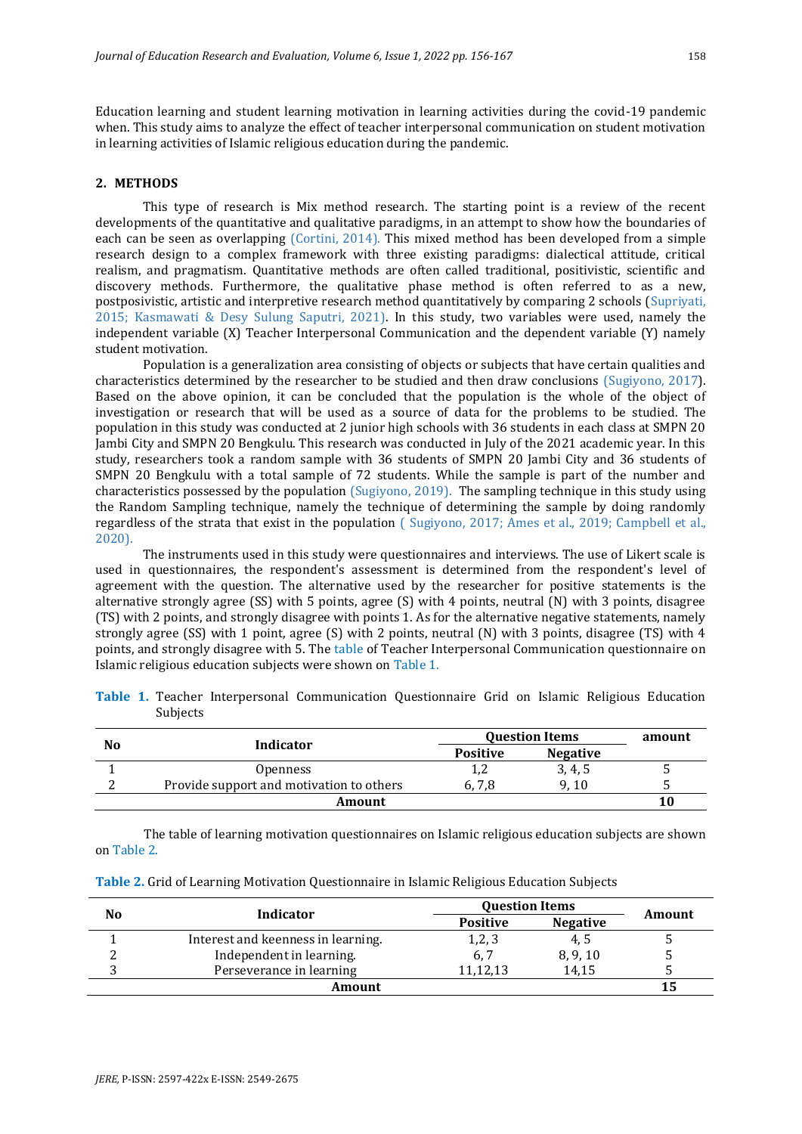Education learning and student learning motivation in learning activities during the covid-19 pandemic when. This study aims to analyze the effect of teacher interpersonal communication on student motivation in learning activities of Islamic religious education during the pandemic.

# **2. METHODS**

This type of research is Mix method research. The starting point is a review of the recent developments of the quantitative and qualitative paradigms, in an attempt to show how the boundaries of each can be seen as overlapping (Cortini, 2014). This mixed method has been developed from a simple research design to a complex framework with three existing paradigms: dialectical attitude, critical realism, and pragmatism. Quantitative methods are often called traditional, positivistic, scientific and discovery methods. Furthermore, the qualitative phase method is often referred to as a new, postposivistic, artistic and interpretive research method quantitatively by comparing 2 schools (Supriyati, 2015; Kasmawati & Desy Sulung Saputri, 2021). In this study, two variables were used, namely the independent variable (X) Teacher Interpersonal Communication and the dependent variable (Y) namely student motivation.

Population is a generalization area consisting of objects or subjects that have certain qualities and characteristics determined by the researcher to be studied and then draw conclusions (Sugiyono, 2017). Based on the above opinion, it can be concluded that the population is the whole of the object of investigation or research that will be used as a source of data for the problems to be studied. The population in this study was conducted at 2 junior high schools with 36 students in each class at SMPN 20 Jambi City and SMPN 20 Bengkulu. This research was conducted in July of the 2021 academic year. In this study, researchers took a random sample with 36 students of SMPN 20 Jambi City and 36 students of SMPN 20 Bengkulu with a total sample of 72 students. While the sample is part of the number and characteristics possessed by the population (Sugiyono, 2019). The sampling technique in this study using the Random Sampling technique, namely the technique of determining the sample by doing randomly regardless of the strata that exist in the population ( Sugiyono, 2017; Ames et al., 2019; Campbell et al., 2020).

The instruments used in this study were questionnaires and interviews. The use of Likert scale is used in questionnaires, the respondent's assessment is determined from the respondent's level of agreement with the question. The alternative used by the researcher for positive statements is the alternative strongly agree (SS) with 5 points, agree (S) with 4 points, neutral (N) with 3 points, disagree (TS) with 2 points, and strongly disagree with points 1. As for the alternative negative statements, namely strongly agree (SS) with 1 point, agree (S) with 2 points, neutral (N) with 3 points, disagree (TS) with 4 points, and strongly disagree with 5. The table of Teacher Interpersonal Communication questionnaire on Islamic religious education subjects were shown on Table 1.

**Table 1.** Teacher Interpersonal Communication Questionnaire Grid on Islamic Religious Education Subjects

|    | Indicator                                | <b>Question Items</b> | amount          |    |
|----|------------------------------------------|-----------------------|-----------------|----|
| No |                                          | <b>Positive</b>       | <b>Negative</b> |    |
|    | <i><b>Openness</b></i>                   | ı,                    | 3, 4, 5         |    |
|    | Provide support and motivation to others | 6.7.8                 | (10)            |    |
|    | Amount                                   |                       |                 | 10 |

The table of learning motivation questionnaires on Islamic religious education subjects are shown on Table 2.

| Table 2. Grid of Learning Motivation Questionnaire in Islamic Religious Education Subjects |  |  |
|--------------------------------------------------------------------------------------------|--|--|
|                                                                                            |  |  |

|    |                                    | <b>Question Items</b> |                 |        |
|----|------------------------------------|-----------------------|-----------------|--------|
| No | Indicator                          | <b>Positive</b>       | <b>Negative</b> | Amount |
|    | Interest and keenness in learning. | 1,2,3                 | 4.5             |        |
|    | Independent in learning.           | 6.7                   | 8, 9, 10        |        |
|    | Perseverance in learning           | 11,12,13              | 14.15           |        |
|    | Amount                             |                       |                 | 15     |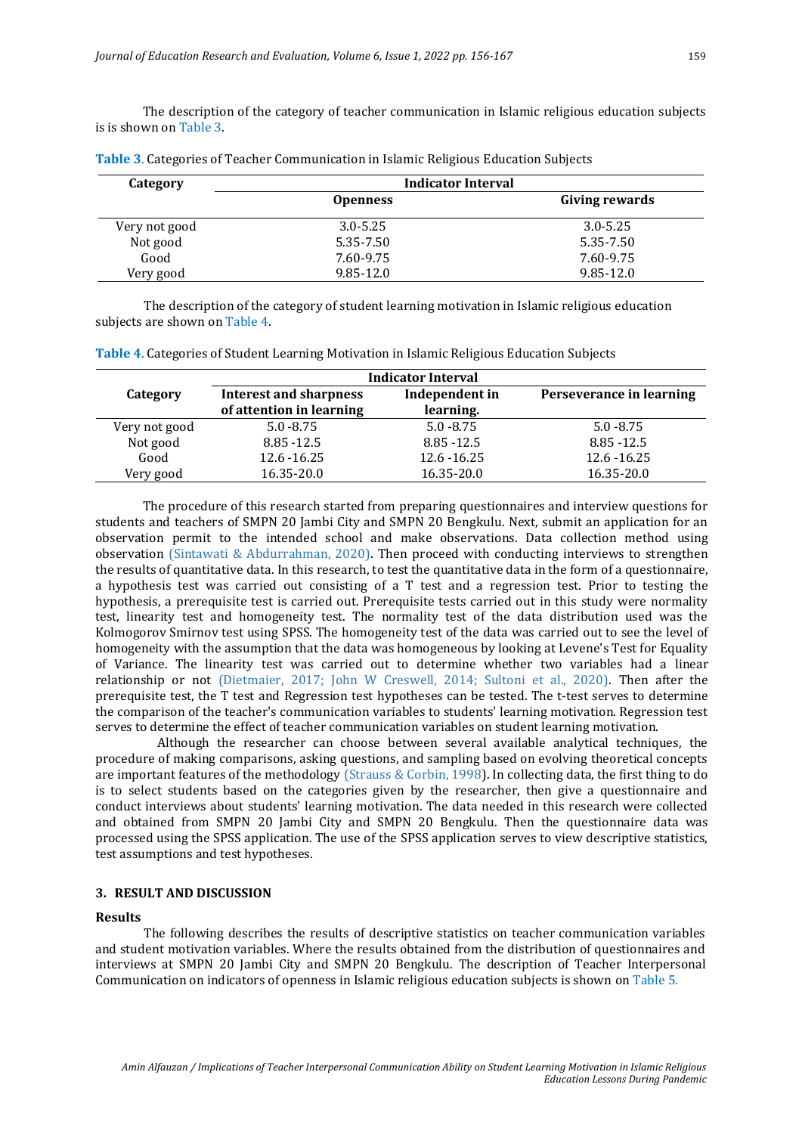The description of the category of teacher communication in Islamic religious education subjects is is shown on Table 3.

| Category      | Indicator Interval |                |
|---------------|--------------------|----------------|
|               | <b>Openness</b>    | Giving rewards |
| Very not good | $3.0 - 5.25$       | $3.0 - 5.25$   |
| Not good      | 5.35-7.50          | 5.35-7.50      |
| Good          | 7.60-9.75          | 7.60-9.75      |
| Very good     | $9.85 - 12.0$      | $9.85 - 12.0$  |

**Table 3**. Categories of Teacher Communication in Islamic Religious Education Subjects

The description of the category of student learning motivation in Islamic religious education subjects are shown on Table 4.

|               | <b>Indicator Interval</b>                                 |                             |                          |  |  |  |  |  |  |
|---------------|-----------------------------------------------------------|-----------------------------|--------------------------|--|--|--|--|--|--|
| Category      | <b>Interest and sharpness</b><br>of attention in learning | Independent in<br>learning. | Perseverance in learning |  |  |  |  |  |  |
| Very not good | $5.0 - 8.75$                                              | $5.0 - 8.75$                | $5.0 - 8.75$             |  |  |  |  |  |  |
| Not good      | 8.85 - 12.5                                               | $8.85 - 12.5$               | 8.85 - 12.5              |  |  |  |  |  |  |
| Good          | 12.6 - 16.25                                              | 12.6 - 16.25                | 12.6 - 16.25             |  |  |  |  |  |  |
| Very good     | 16.35-20.0                                                | 16.35-20.0                  | 16.35-20.0               |  |  |  |  |  |  |

**Table 4**. Categories of Student Learning Motivation in Islamic Religious Education Subjects

The procedure of this research started from preparing questionnaires and interview questions for students and teachers of SMPN 20 Jambi City and SMPN 20 Bengkulu. Next, submit an application for an observation permit to the intended school and make observations. Data collection method using observation (Sintawati & Abdurrahman, 2020). Then proceed with conducting interviews to strengthen the results of quantitative data. In this research, to test the quantitative data in the form of a questionnaire, a hypothesis test was carried out consisting of a T test and a regression test. Prior to testing the hypothesis, a prerequisite test is carried out. Prerequisite tests carried out in this study were normality test, linearity test and homogeneity test. The normality test of the data distribution used was the Kolmogorov Smirnov test using SPSS. The homogeneity test of the data was carried out to see the level of homogeneity with the assumption that the data was homogeneous by looking at Levene's Test for Equality of Variance. The linearity test was carried out to determine whether two variables had a linear relationship or not (Dietmaier, 2017; John W Creswell, 2014; Sultoni et al., 2020). Then after the prerequisite test, the T test and Regression test hypotheses can be tested. The t-test serves to determine the comparison of the teacher's communication variables to students' learning motivation. Regression test serves to determine the effect of teacher communication variables on student learning motivation.

Although the researcher can choose between several available analytical techniques, the procedure of making comparisons, asking questions, and sampling based on evolving theoretical concepts are important features of the methodology (Strauss & Corbin, 1998). In collecting data, the first thing to do is to select students based on the categories given by the researcher, then give a questionnaire and conduct interviews about students' learning motivation. The data needed in this research were collected and obtained from SMPN 20 Jambi City and SMPN 20 Bengkulu. Then the questionnaire data was processed using the SPSS application. The use of the SPSS application serves to view descriptive statistics, test assumptions and test hypotheses.

# **3. RESULT AND DISCUSSION**

#### **Results**

The following describes the results of descriptive statistics on teacher communication variables and student motivation variables. Where the results obtained from the distribution of questionnaires and interviews at SMPN 20 Jambi City and SMPN 20 Bengkulu. The description of Teacher Interpersonal Communication on indicators of openness in Islamic religious education subjects is shown on Table 5.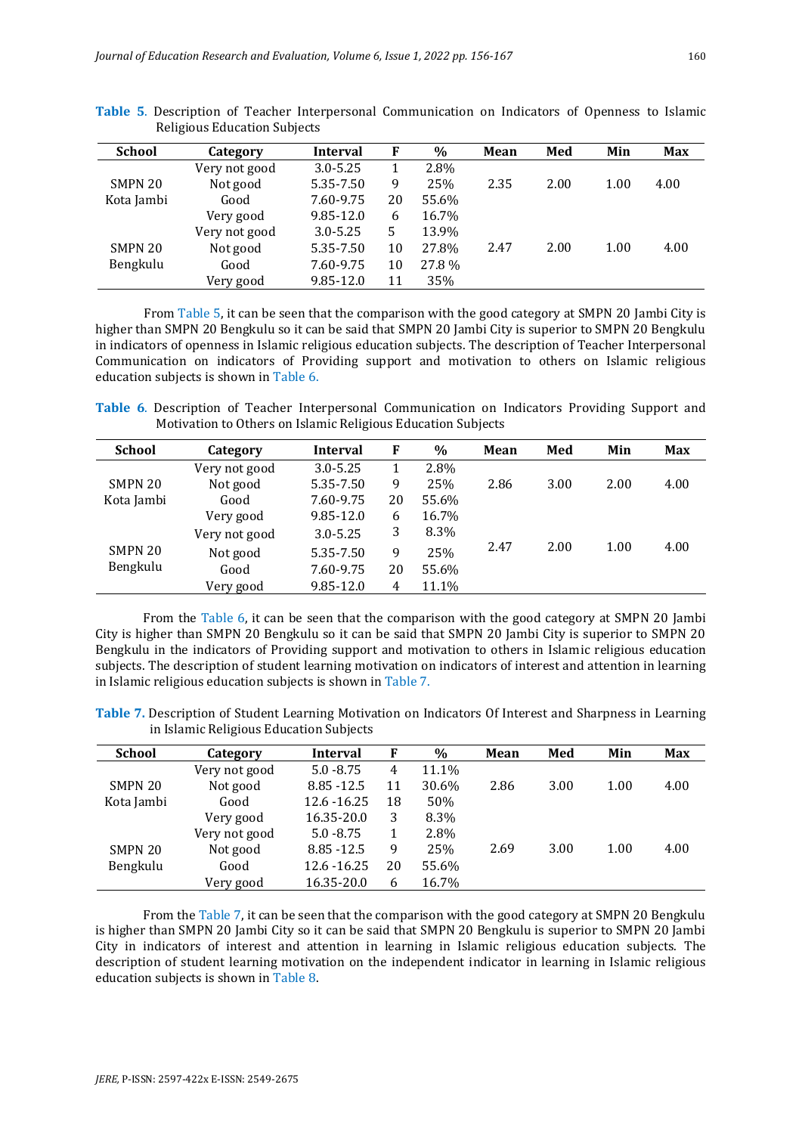| <b>School</b> | Category      | Interval      | F  | $\%$  | Mean | Med  | Min  | <b>Max</b> |
|---------------|---------------|---------------|----|-------|------|------|------|------------|
|               | Very not good | $3.0 - 5.25$  |    | 2.8%  |      |      |      |            |
| SMPN 20       | Not good      | 5.35-7.50     | 9  | 25%   | 2.35 | 2.00 | 1.00 | 4.00       |
| Kota Jambi    | Good          | 7.60-9.75     | 20 | 55.6% |      |      |      |            |
|               | Very good     | $9.85 - 12.0$ | 6  | 16.7% |      |      |      |            |
|               | Very not good | $3.0 - 5.25$  | 5  | 13.9% |      |      |      |            |
| SMPN 20       | Not good      | 5.35-7.50     | 10 | 27.8% | 2.47 | 2.00 | 1.00 | 4.00       |
| Bengkulu      | Good          | 7.60-9.75     | 10 | 27.8% |      |      |      |            |
|               | Very good     | $9.85 - 12.0$ | 11 | 35%   |      |      |      |            |

**Table 5**. Description of Teacher Interpersonal Communication on Indicators of Openness to Islamic Religious Education Subjects

From Table 5, it can be seen that the comparison with the good category at SMPN 20 Jambi City is higher than SMPN 20 Bengkulu so it can be said that SMPN 20 Jambi City is superior to SMPN 20 Bengkulu in indicators of openness in Islamic religious education subjects. The description of Teacher Interpersonal Communication on indicators of Providing support and motivation to others on Islamic religious education subjects is shown in Table 6.

**Table 6**. Description of Teacher Interpersonal Communication on Indicators Providing Support and Motivation to Others on Islamic Religious Education Subjects

| <b>School</b> | Category      | Interval      | F  | $\%$  | Mean | Med  | Min  | <b>Max</b> |
|---------------|---------------|---------------|----|-------|------|------|------|------------|
|               | Very not good | $3.0 - 5.25$  |    | 2.8%  |      |      |      |            |
| SMPN 20       | Not good      | 5.35-7.50     | 9  | 25%   | 2.86 | 3.00 | 2.00 | 4.00       |
| Kota Jambi    | Good          | 7.60-9.75     | 20 | 55.6% |      |      |      |            |
|               | Very good     | $9.85 - 12.0$ | 6  | 16.7% |      |      |      |            |
|               | Very not good | $3.0 - 5.25$  | 3  | 8.3%  |      |      |      |            |
| SMPN 20       | Not good      | 5.35-7.50     | 9  | 25%   | 2.47 | 2.00 | 1.00 | 4.00       |
| Bengkulu      | Good          | 7.60-9.75     | 20 | 55.6% |      |      |      |            |
|               | Very good     | $9.85 - 12.0$ | 4  | 11.1% |      |      |      |            |
|               |               |               |    |       |      |      |      |            |

From the Table 6, it can be seen that the comparison with the good category at SMPN 20 Jambi City is higher than SMPN 20 Bengkulu so it can be said that SMPN 20 Jambi City is superior to SMPN 20 Bengkulu in the indicators of Providing support and motivation to others in Islamic religious education subjects. The description of student learning motivation on indicators of interest and attention in learning in Islamic religious education subjects is shown in Table 7.

**Table 7.** Description of Student Learning Motivation on Indicators Of Interest and Sharpness in Learning in Islamic Religious Education Subjects

| <b>School</b> | Category      | Interval      | F  | $\%$  | Mean | Med  | Min  | <b>Max</b> |
|---------------|---------------|---------------|----|-------|------|------|------|------------|
|               | Very not good | $5.0 - 8.75$  | 4  | 11.1% |      |      |      |            |
| SMPN 20       | Not good      | $8.85 - 12.5$ | 11 | 30.6% | 2.86 | 3.00 | 1.00 | 4.00       |
| Kota Jambi    | Good          | 12.6 - 16.25  | 18 | 50%   |      |      |      |            |
|               | Very good     | 16.35-20.0    | 3  | 8.3%  |      |      |      |            |
|               | Very not good | $5.0 - 8.75$  |    | 2.8%  |      |      |      |            |
| SMPN 20       | Not good      | $8.85 - 12.5$ | 9  | 25%   | 2.69 | 3.00 | 1.00 | 4.00       |
| Bengkulu      | Good          | 12.6 - 16.25  | 20 | 55.6% |      |      |      |            |
|               | Very good     | 16.35-20.0    | 6  | 16.7% |      |      |      |            |

From the Table 7, it can be seen that the comparison with the good category at SMPN 20 Bengkulu is higher than SMPN 20 Jambi City so it can be said that SMPN 20 Bengkulu is superior to SMPN 20 Jambi City in indicators of interest and attention in learning in Islamic religious education subjects. The description of student learning motivation on the independent indicator in learning in Islamic religious education subjects is shown in Table 8.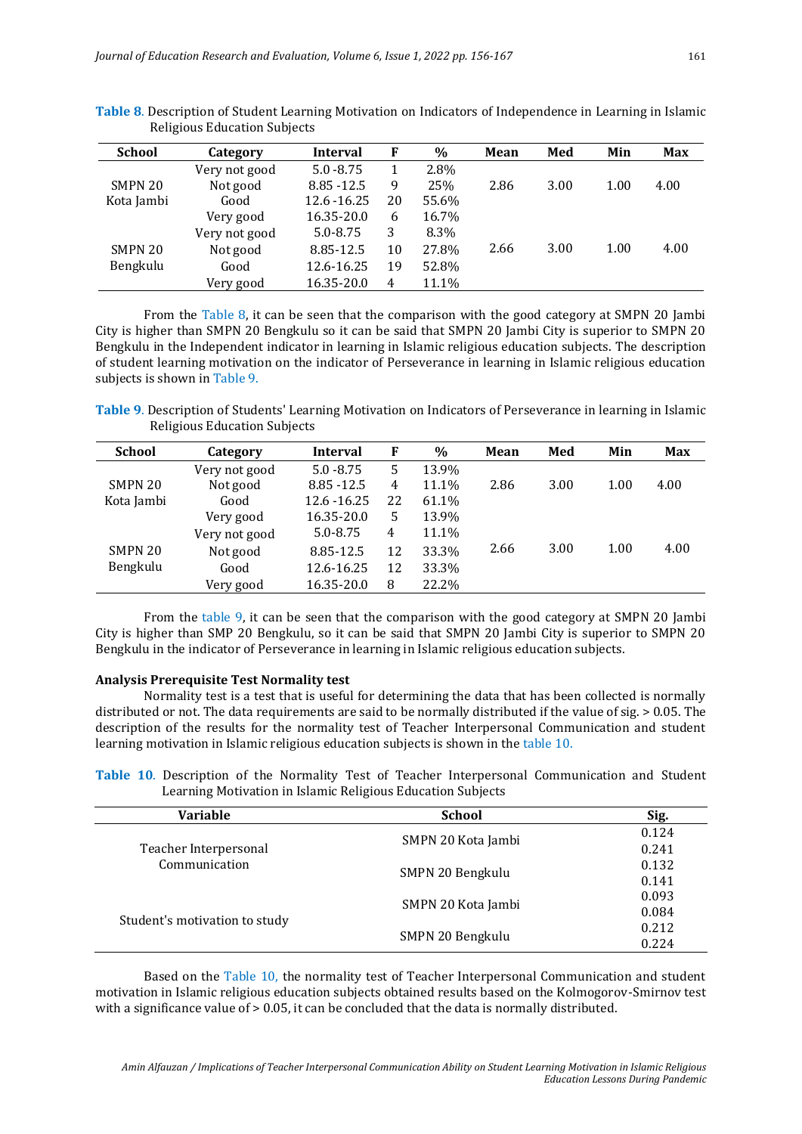| <b>School</b> | Category      | Interval      | F  | $\frac{0}{0}$ | Mean | Med  | Min  | <b>Max</b> |
|---------------|---------------|---------------|----|---------------|------|------|------|------------|
|               | Very not good | $5.0 - 8.75$  |    | 2.8%          |      |      |      |            |
| SMPN 20       | Not good      | $8.85 - 12.5$ | 9  | 25%           | 2.86 | 3.00 | 1.00 | 4.00       |
| Kota Jambi    | Good          | 12.6 - 16.25  | 20 | 55.6%         |      |      |      |            |
|               | Very good     | 16.35-20.0    | 6  | 16.7%         |      |      |      |            |
|               | Very not good | 5.0-8.75      | 3  | 8.3%          |      |      |      |            |
| SMPN 20       | Not good      | 8.85-12.5     | 10 | 27.8%         | 2.66 | 3.00 | 1.00 | 4.00       |
| Bengkulu      | Good          | 12.6-16.25    | 19 | 52.8%         |      |      |      |            |
|               | Very good     | 16.35-20.0    | 4  | 11.1%         |      |      |      |            |

**Table 8**. Description of Student Learning Motivation on Indicators of Independence in Learning in Islamic Religious Education Subjects

From the Table 8, it can be seen that the comparison with the good category at SMPN 20 Jambi City is higher than SMPN 20 Bengkulu so it can be said that SMPN 20 Jambi City is superior to SMPN 20 Bengkulu in the Independent indicator in learning in Islamic religious education subjects. The description of student learning motivation on the indicator of Perseverance in learning in Islamic religious education subjects is shown in Table 9.

**Table 9**. Description of Students' Learning Motivation on Indicators of Perseverance in learning in Islamic Religious Education Subjects

| <b>School</b> | Category      | Interval      | F  | $\%$  | Mean | Med  | Min  | <b>Max</b> |
|---------------|---------------|---------------|----|-------|------|------|------|------------|
|               | Very not good | $5.0 - 8.75$  | 5  | 13.9% |      |      |      |            |
| SMPN 20       | Not good      | $8.85 - 12.5$ | 4  | 11.1% | 2.86 | 3.00 | 1.00 | 4.00       |
| Kota Jambi    | Good          | 12.6 - 16.25  | 22 | 61.1% |      |      |      |            |
|               | Very good     | 16.35-20.0    | 5  | 13.9% |      |      |      |            |
|               | Very not good | $5.0 - 8.75$  | 4  | 11.1% |      |      |      |            |
| SMPN 20       | Not good      | 8.85-12.5     | 12 | 33.3% | 2.66 | 3.00 | 1.00 | 4.00       |
| Bengkulu      | Good          | 12.6-16.25    | 12 | 33.3% |      |      |      |            |
|               | Very good     | 16.35-20.0    | 8  | 22.2% |      |      |      |            |

From the table 9, it can be seen that the comparison with the good category at SMPN 20 Jambi City is higher than SMP 20 Bengkulu, so it can be said that SMPN 20 Jambi City is superior to SMPN 20 Bengkulu in the indicator of Perseverance in learning in Islamic religious education subjects.

#### **Analysis Prerequisite Test Normality test**

Normality test is a test that is useful for determining the data that has been collected is normally distributed or not. The data requirements are said to be normally distributed if the value of sig. > 0.05. The description of the results for the normality test of Teacher Interpersonal Communication and student learning motivation in Islamic religious education subjects is shown in the table 10.

**Table 10**. Description of the Normality Test of Teacher Interpersonal Communication and Student Learning Motivation in Islamic Religious Education Subjects

| Variable                                                                | <b>School</b>      | Sig.  |
|-------------------------------------------------------------------------|--------------------|-------|
| Teacher Interpersonal<br>Communication<br>Student's motivation to study | SMPN 20 Kota Jambi | 0.124 |
|                                                                         |                    | 0.241 |
|                                                                         | SMPN 20 Bengkulu   | 0.132 |
|                                                                         |                    | 0.141 |
|                                                                         | SMPN 20 Kota Jambi | 0.093 |
|                                                                         |                    | 0.084 |
|                                                                         | SMPN 20 Bengkulu   | 0.212 |
|                                                                         |                    | 0.224 |

Based on the Table 10, the normality test of Teacher Interpersonal Communication and student motivation in Islamic religious education subjects obtained results based on the Kolmogorov-Smirnov test with a significance value of  $> 0.05$ , it can be concluded that the data is normally distributed.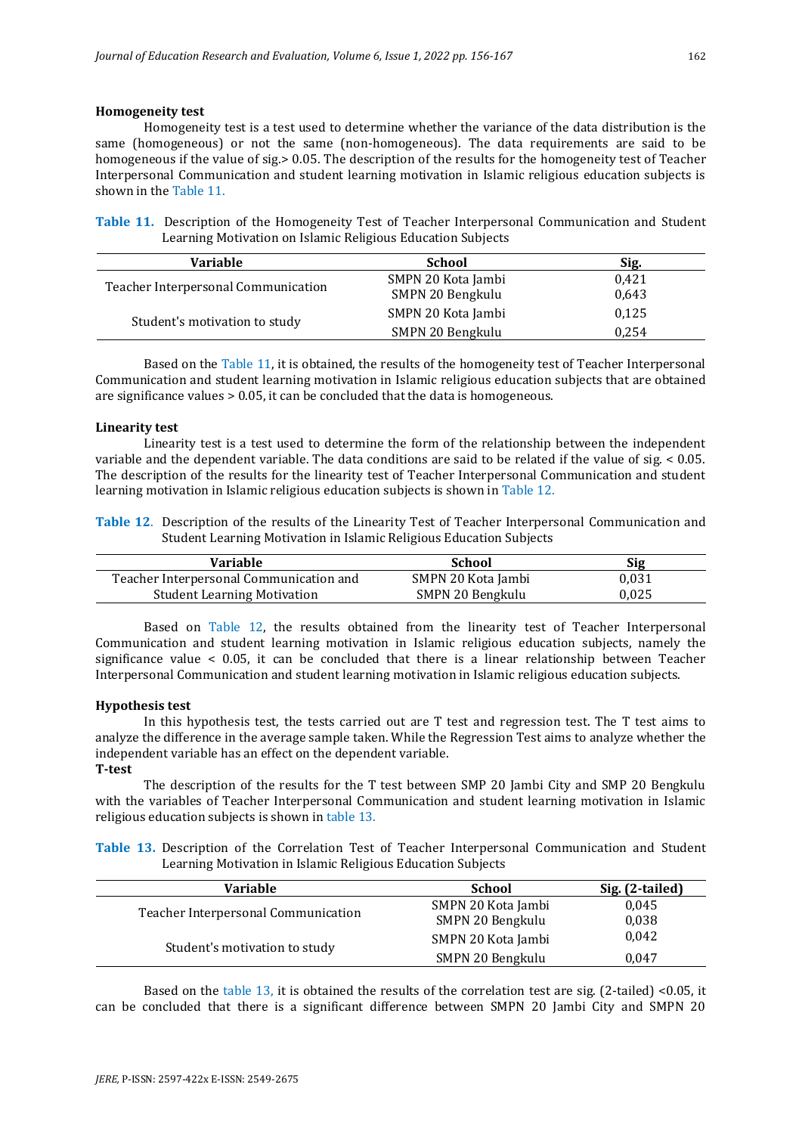### **Homogeneity test**

Homogeneity test is a test used to determine whether the variance of the data distribution is the same (homogeneous) or not the same (non-homogeneous). The data requirements are said to be homogeneous if the value of sig.> 0.05. The description of the results for the homogeneity test of Teacher Interpersonal Communication and student learning motivation in Islamic religious education subjects is shown in the Table 11.

**Table 11.** Description of the Homogeneity Test of Teacher Interpersonal Communication and Student Learning Motivation on Islamic Religious Education Subjects

| <b>Variable</b>                     | <b>School</b>      | Sig.  |
|-------------------------------------|--------------------|-------|
| Teacher Interpersonal Communication | SMPN 20 Kota Jambi | 0.421 |
|                                     | SMPN 20 Bengkulu   | 0,643 |
| Student's motivation to study       | SMPN 20 Kota Jambi | 0,125 |
|                                     | SMPN 20 Bengkulu   | 0.254 |

Based on the Table 11, it is obtained, the results of the homogeneity test of Teacher Interpersonal Communication and student learning motivation in Islamic religious education subjects that are obtained are significance values > 0.05, it can be concluded that the data is homogeneous.

#### **Linearity test**

Linearity test is a test used to determine the form of the relationship between the independent variable and the dependent variable. The data conditions are said to be related if the value of sig. < 0.05. The description of the results for the linearity test of Teacher Interpersonal Communication and student learning motivation in Islamic religious education subjects is shown in Table 12.

**Table 12**. Description of the results of the Linearity Test of Teacher Interpersonal Communication and Student Learning Motivation in Islamic Religious Education Subjects

| Variable                                | School             | Sig   |
|-----------------------------------------|--------------------|-------|
| Teacher Interpersonal Communication and | SMPN 20 Kota Jambi | 0.031 |
| <b>Student Learning Motivation</b>      | SMPN 20 Bengkulu   | 0.025 |

Based on Table 12, the results obtained from the linearity test of Teacher Interpersonal Communication and student learning motivation in Islamic religious education subjects, namely the significance value  $\leq$  0.05, it can be concluded that there is a linear relationship between Teacher Interpersonal Communication and student learning motivation in Islamic religious education subjects.

#### **Hypothesis test**

In this hypothesis test, the tests carried out are T test and regression test. The T test aims to analyze the difference in the average sample taken. While the Regression Test aims to analyze whether the independent variable has an effect on the dependent variable.

**T-test**

The description of the results for the T test between SMP 20 Jambi City and SMP 20 Bengkulu with the variables of Teacher Interpersonal Communication and student learning motivation in Islamic religious education subjects is shown in table 13.

**Table 13.** Description of the Correlation Test of Teacher Interpersonal Communication and Student Learning Motivation in Islamic Religious Education Subjects

| <b>Variable</b>                     | <b>School</b>      | Sig. (2-tailed) |  |
|-------------------------------------|--------------------|-----------------|--|
|                                     | SMPN 20 Kota Jambi | 0,045           |  |
| Teacher Interpersonal Communication | SMPN 20 Bengkulu   | 0,038           |  |
| Student's motivation to study       | SMPN 20 Kota Jambi | 0,042           |  |
|                                     | SMPN 20 Bengkulu   | 0.047           |  |

Based on the table 13, it is obtained the results of the correlation test are sig. (2-tailed) <0.05, it can be concluded that there is a significant difference between SMPN 20 Jambi City and SMPN 20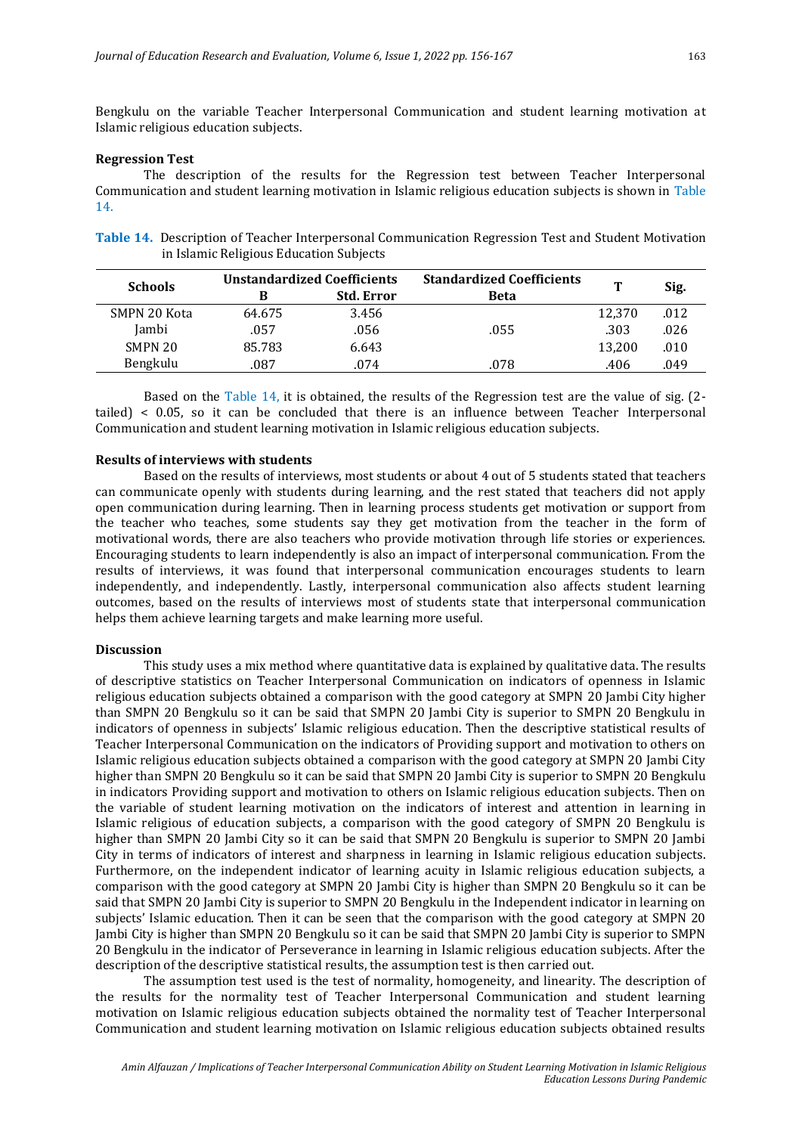Bengkulu on the variable Teacher Interpersonal Communication and student learning motivation at Islamic religious education subjects.

### **Regression Test**

The description of the results for the Regression test between Teacher Interpersonal Communication and student learning motivation in Islamic religious education subjects is shown in Table 14.

**Table 14.** Description of Teacher Interpersonal Communication Regression Test and Student Motivation in Islamic Religious Education Subjects

| <b>Schools</b> | <b>Unstandardized Coefficients</b> |                   | <b>Standardized Coefficients</b> | т      |      |
|----------------|------------------------------------|-------------------|----------------------------------|--------|------|
|                |                                    | <b>Std. Error</b> | <b>Beta</b>                      |        | Sig. |
| SMPN 20 Kota   | 64.675                             | 3.456             |                                  | 12,370 | .012 |
| Jambi          | .057                               | .056              | .055                             | .303   | .026 |
| SMPN 20        | 85.783                             | 6.643             |                                  | 13,200 | .010 |
| Bengkulu       | .087                               | .074              | .078                             | .406   | 049  |

Based on the Table 14, it is obtained, the results of the Regression test are the value of sig. (2 tailed) < 0.05, so it can be concluded that there is an influence between Teacher Interpersonal Communication and student learning motivation in Islamic religious education subjects.

#### **Results of interviews with students**

Based on the results of interviews, most students or about 4 out of 5 students stated that teachers can communicate openly with students during learning, and the rest stated that teachers did not apply open communication during learning. Then in learning process students get motivation or support from the teacher who teaches, some students say they get motivation from the teacher in the form of motivational words, there are also teachers who provide motivation through life stories or experiences. Encouraging students to learn independently is also an impact of interpersonal communication. From the results of interviews, it was found that interpersonal communication encourages students to learn independently, and independently. Lastly, interpersonal communication also affects student learning outcomes, based on the results of interviews most of students state that interpersonal communication helps them achieve learning targets and make learning more useful.

#### **Discussion**

This study uses a mix method where quantitative data is explained by qualitative data. The results of descriptive statistics on Teacher Interpersonal Communication on indicators of openness in Islamic religious education subjects obtained a comparison with the good category at SMPN 20 Jambi City higher than SMPN 20 Bengkulu so it can be said that SMPN 20 Jambi City is superior to SMPN 20 Bengkulu in indicators of openness in subjects' Islamic religious education. Then the descriptive statistical results of Teacher Interpersonal Communication on the indicators of Providing support and motivation to others on Islamic religious education subjects obtained a comparison with the good category at SMPN 20 Jambi City higher than SMPN 20 Bengkulu so it can be said that SMPN 20 Jambi City is superior to SMPN 20 Bengkulu in indicators Providing support and motivation to others on Islamic religious education subjects. Then on the variable of student learning motivation on the indicators of interest and attention in learning in Islamic religious of education subjects, a comparison with the good category of SMPN 20 Bengkulu is higher than SMPN 20 Jambi City so it can be said that SMPN 20 Bengkulu is superior to SMPN 20 Jambi City in terms of indicators of interest and sharpness in learning in Islamic religious education subjects. Furthermore, on the independent indicator of learning acuity in Islamic religious education subjects, a comparison with the good category at SMPN 20 Jambi City is higher than SMPN 20 Bengkulu so it can be said that SMPN 20 Jambi City is superior to SMPN 20 Bengkulu in the Independent indicator in learning on subjects' Islamic education. Then it can be seen that the comparison with the good category at SMPN 20 Jambi City is higher than SMPN 20 Bengkulu so it can be said that SMPN 20 Jambi City is superior to SMPN 20 Bengkulu in the indicator of Perseverance in learning in Islamic religious education subjects. After the description of the descriptive statistical results, the assumption test is then carried out.

The assumption test used is the test of normality, homogeneity, and linearity. The description of the results for the normality test of Teacher Interpersonal Communication and student learning motivation on Islamic religious education subjects obtained the normality test of Teacher Interpersonal Communication and student learning motivation on Islamic religious education subjects obtained results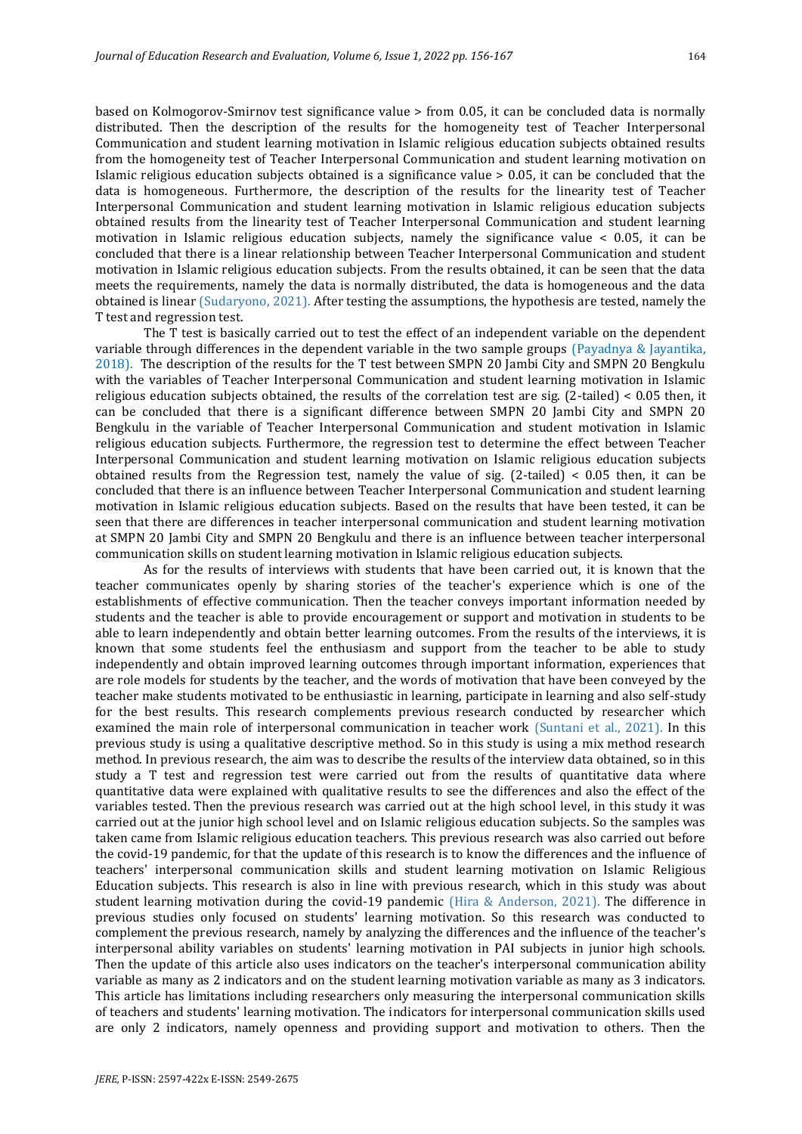based on Kolmogorov-Smirnov test significance value > from 0.05, it can be concluded data is normally distributed. Then the description of the results for the homogeneity test of Teacher Interpersonal Communication and student learning motivation in Islamic religious education subjects obtained results from the homogeneity test of Teacher Interpersonal Communication and student learning motivation on Islamic religious education subjects obtained is a significance value > 0.05, it can be concluded that the data is homogeneous. Furthermore, the description of the results for the linearity test of Teacher Interpersonal Communication and student learning motivation in Islamic religious education subjects obtained results from the linearity test of Teacher Interpersonal Communication and student learning motivation in Islamic religious education subjects, namely the significance value < 0.05, it can be concluded that there is a linear relationship between Teacher Interpersonal Communication and student motivation in Islamic religious education subjects. From the results obtained, it can be seen that the data meets the requirements, namely the data is normally distributed, the data is homogeneous and the data obtained is linear (Sudaryono, 2021). After testing the assumptions, the hypothesis are tested, namely the T test and regression test.

The T test is basically carried out to test the effect of an independent variable on the dependent variable through differences in the dependent variable in the two sample groups (Payadnya & Jayantika, 2018). The description of the results for the T test between SMPN 20 Jambi City and SMPN 20 Bengkulu with the variables of Teacher Interpersonal Communication and student learning motivation in Islamic religious education subjects obtained, the results of the correlation test are sig. (2-tailed) < 0.05 then, it can be concluded that there is a significant difference between SMPN 20 Jambi City and SMPN 20 Bengkulu in the variable of Teacher Interpersonal Communication and student motivation in Islamic religious education subjects. Furthermore, the regression test to determine the effect between Teacher Interpersonal Communication and student learning motivation on Islamic religious education subjects obtained results from the Regression test, namely the value of sig.  $(2$ -tailed) < 0.05 then, it can be concluded that there is an influence between Teacher Interpersonal Communication and student learning motivation in Islamic religious education subjects. Based on the results that have been tested, it can be seen that there are differences in teacher interpersonal communication and student learning motivation at SMPN 20 Jambi City and SMPN 20 Bengkulu and there is an influence between teacher interpersonal communication skills on student learning motivation in Islamic religious education subjects.

As for the results of interviews with students that have been carried out, it is known that the teacher communicates openly by sharing stories of the teacher's experience which is one of the establishments of effective communication. Then the teacher conveys important information needed by students and the teacher is able to provide encouragement or support and motivation in students to be able to learn independently and obtain better learning outcomes. From the results of the interviews, it is known that some students feel the enthusiasm and support from the teacher to be able to study independently and obtain improved learning outcomes through important information, experiences that are role models for students by the teacher, and the words of motivation that have been conveyed by the teacher make students motivated to be enthusiastic in learning, participate in learning and also self-study for the best results. This research complements previous research conducted by researcher which examined the main role of interpersonal communication in teacher work (Suntani et al., 2021). In this previous study is using a qualitative descriptive method. So in this study is using a mix method research method. In previous research, the aim was to describe the results of the interview data obtained, so in this study a T test and regression test were carried out from the results of quantitative data where quantitative data were explained with qualitative results to see the differences and also the effect of the variables tested. Then the previous research was carried out at the high school level, in this study it was carried out at the junior high school level and on Islamic religious education subjects. So the samples was taken came from Islamic religious education teachers. This previous research was also carried out before the covid-19 pandemic, for that the update of this research is to know the differences and the influence of teachers' interpersonal communication skills and student learning motivation on Islamic Religious Education subjects. This research is also in line with previous research, which in this study was about student learning motivation during the covid-19 pandemic (Hira & Anderson, 2021). The difference in previous studies only focused on students' learning motivation. So this research was conducted to complement the previous research, namely by analyzing the differences and the influence of the teacher's interpersonal ability variables on students' learning motivation in PAI subjects in junior high schools. Then the update of this article also uses indicators on the teacher's interpersonal communication ability variable as many as 2 indicators and on the student learning motivation variable as many as 3 indicators. This article has limitations including researchers only measuring the interpersonal communication skills of teachers and students' learning motivation. The indicators for interpersonal communication skills used are only 2 indicators, namely openness and providing support and motivation to others. Then the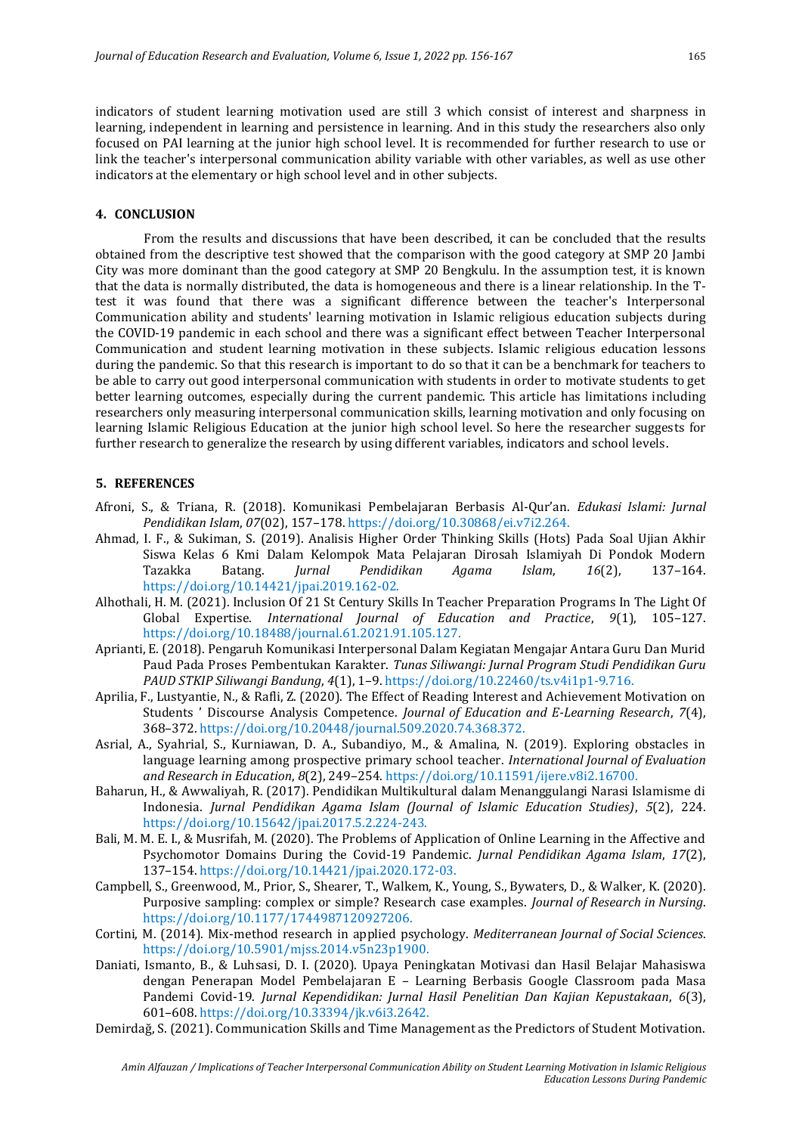indicators of student learning motivation used are still 3 which consist of interest and sharpness in learning, independent in learning and persistence in learning. And in this study the researchers also only focused on PAI learning at the junior high school level. It is recommended for further research to use or link the teacher's interpersonal communication ability variable with other variables, as well as use other indicators at the elementary or high school level and in other subjects.

#### **4. CONCLUSION**

From the results and discussions that have been described, it can be concluded that the results obtained from the descriptive test showed that the comparison with the good category at SMP 20 Jambi City was more dominant than the good category at SMP 20 Bengkulu. In the assumption test, it is known that the data is normally distributed, the data is homogeneous and there is a linear relationship. In the Ttest it was found that there was a significant difference between the teacher's Interpersonal Communication ability and students' learning motivation in Islamic religious education subjects during the COVID-19 pandemic in each school and there was a significant effect between Teacher Interpersonal Communication and student learning motivation in these subjects. Islamic religious education lessons during the pandemic. So that this research is important to do so that it can be a benchmark for teachers to be able to carry out good interpersonal communication with students in order to motivate students to get better learning outcomes, especially during the current pandemic. This article has limitations including researchers only measuring interpersonal communication skills, learning motivation and only focusing on learning Islamic Religious Education at the junior high school level. So here the researcher suggests for further research to generalize the research by using different variables, indicators and school levels.

## **5. REFERENCES**

- Afroni, S., & Triana, R. (2018). Komunikasi Pembelajaran Berbasis Al-Qur'an. *Edukasi Islami: Jurnal Pendidikan Islam*, *07*(02), 157–178. https://doi.org/10.30868/ei.v7i2.264.
- Ahmad, I. F., & Sukiman, S. (2019). Analisis Higher Order Thinking Skills (Hots) Pada Soal Ujian Akhir Siswa Kelas 6 Kmi Dalam Kelompok Mata Pelajaran Dirosah Islamiyah Di Pondok Modern Tazakka Batang. *Jurnal Pendidikan Agama Islam*, *16*(2), 137–164. https://doi.org/10.14421/jpai.2019.162-02.
- Alhothali, H. M. (2021). Inclusion Of 21 St Century Skills In Teacher Preparation Programs In The Light Of Global Expertise. *International Journal of Education and Practice*, *9*(1), 105–127. https://doi.org/10.18488/journal.61.2021.91.105.127.
- Aprianti, E. (2018). Pengaruh Komunikasi Interpersonal Dalam Kegiatan Mengajar Antara Guru Dan Murid Paud Pada Proses Pembentukan Karakter. *Tunas Siliwangi: Jurnal Program Studi Pendidikan Guru PAUD STKIP Siliwangi Bandung*, *4*(1), 1–9. https://doi.org/10.22460/ts.v4i1p1-9.716.
- Aprilia, F., Lustyantie, N., & Rafli, Z. (2020). The Effect of Reading Interest and Achievement Motivation on Students ' Discourse Analysis Competence. *Journal of Education and E-Learning Research*, *7*(4), 368–372. https://doi.org/10.20448/journal.509.2020.74.368.372.
- Asrial, A., Syahrial, S., Kurniawan, D. A., Subandiyo, M., & Amalina, N. (2019). Exploring obstacles in language learning among prospective primary school teacher. *International Journal of Evaluation and Research in Education*, *8*(2), 249–254. https://doi.org/10.11591/ijere.v8i2.16700.
- Baharun, H., & Awwaliyah, R. (2017). Pendidikan Multikultural dalam Menanggulangi Narasi Islamisme di Indonesia. *Jurnal Pendidikan Agama Islam (Journal of Islamic Education Studies)*, *5*(2), 224. https://doi.org/10.15642/jpai.2017.5.2.224-243.
- Bali, M. M. E. I., & Musrifah, M. (2020). The Problems of Application of Online Learning in the Affective and Psychomotor Domains During the Covid-19 Pandemic. *Jurnal Pendidikan Agama Islam*, *17*(2), 137–154. https://doi.org/10.14421/jpai.2020.172-03.
- Campbell, S., Greenwood, M., Prior, S., Shearer, T., Walkem, K., Young, S., Bywaters, D., & Walker, K. (2020). Purposive sampling: complex or simple? Research case examples. *Journal of Research in Nursing*. https://doi.org/10.1177/1744987120927206.
- Cortini, M. (2014). Mix-method research in applied psychology. *Mediterranean Journal of Social Sciences*. https://doi.org/10.5901/mjss.2014.v5n23p1900.
- Daniati, Ismanto, B., & Luhsasi, D. I. (2020). Upaya Peningkatan Motivasi dan Hasil Belajar Mahasiswa dengan Penerapan Model Pembelajaran E – Learning Berbasis Google Classroom pada Masa Pandemi Covid-19. *Jurnal Kependidikan: Jurnal Hasil Penelitian Dan Kajian Kepustakaan*, *6*(3), 601–608. https://doi.org/10.33394/jk.v6i3.2642.
- Demirdağ, S. (2021). Communication Skills and Time Management as the Predictors of Student Motivation.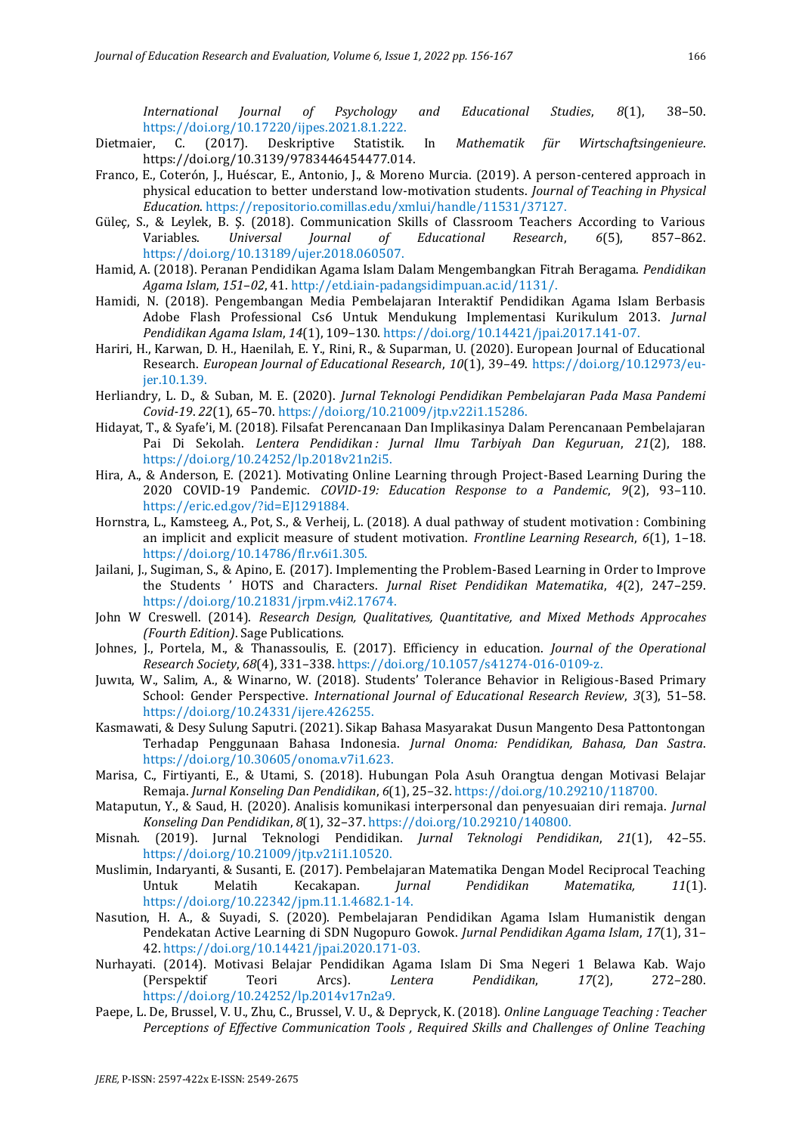*International Journal of Psychology and Educational Studies*, *8*(1), 38–50. https://doi.org/10.17220/ijpes.2021.8.1.222.

- Dietmaier, C. (2017). Deskriptive Statistik. In *Mathematik für Wirtschaftsingenieure*. https://doi.org/10.3139/9783446454477.014.
- Franco, E., Coterón, J., Huéscar, E., Antonio, J., & Moreno Murcia. (2019). A person-centered approach in physical education to better understand low-motivation students. *Journal of Teaching in Physical Education*. https://repositorio.comillas.edu/xmlui/handle/11531/37127.
- Güleç, S., & Leylek, B. Ş. (2018). Communication Skills of Classroom Teachers According to Various Variables. *Universal Journal of Educational Research*, *6*(5), 857–862. https://doi.org/10.13189/ujer.2018.060507.
- Hamid, A. (2018). Peranan Pendidikan Agama Islam Dalam Mengembangkan Fitrah Beragama. *Pendidikan Agama Islam*, *151*–*02*, 41. http://etd.iain-padangsidimpuan.ac.id/1131/.
- Hamidi, N. (2018). Pengembangan Media Pembelajaran Interaktif Pendidikan Agama Islam Berbasis Adobe Flash Professional Cs6 Untuk Mendukung Implementasi Kurikulum 2013. *Jurnal Pendidikan Agama Islam*, *14*(1), 109–130. https://doi.org/10.14421/jpai.2017.141-07.
- Hariri, H., Karwan, D. H., Haenilah, E. Y., Rini, R., & Suparman, U. (2020). European Journal of Educational Research. *European Journal of Educational Research*, *10*(1), 39–49. https://doi.org/10.12973/eujer.10.1.39.
- Herliandry, L. D., & Suban, M. E. (2020). *Jurnal Teknologi Pendidikan Pembelajaran Pada Masa Pandemi Covid-19*. *22*(1), 65–70. https://doi.org/10.21009/jtp.v22i1.15286.
- Hidayat, T., & Syafe'i, M. (2018). Filsafat Perencanaan Dan Implikasinya Dalam Perencanaan Pembelajaran Pai Di Sekolah. *Lentera Pendidikan : Jurnal Ilmu Tarbiyah Dan Keguruan*, *21*(2), 188. https://doi.org/10.24252/lp.2018v21n2i5.
- Hira, A., & Anderson, E. (2021). Motivating Online Learning through Project-Based Learning During the 2020 COVID-19 Pandemic. *COVID-19: Education Response to a Pandemic*, *9*(2), 93–110. https://eric.ed.gov/?id=EJ1291884.
- Hornstra, L., Kamsteeg, A., Pot, S., & Verheij, L. (2018). A dual pathway of student motivation : Combining an implicit and explicit measure of student motivation. *Frontline Learning Research*, *6*(1), 1–18. https://doi.org/10.14786/flr.v6i1.305.
- Jailani, J., Sugiman, S., & Apino, E. (2017). Implementing the Problem-Based Learning in Order to Improve the Students ' HOTS and Characters. *Jurnal Riset Pendidikan Matematika*, *4*(2), 247–259. https://doi.org/10.21831/jrpm.v4i2.17674.
- John W Creswell. (2014). *Research Design, Qualitatives, Quantitative, and Mixed Methods Approcahes (Fourth Edition)*. Sage Publications.
- Johnes, J., Portela, M., & Thanassoulis, E. (2017). Efficiency in education. *Journal of the Operational Research Society*, *68*(4), 331–338. https://doi.org/10.1057/s41274-016-0109-z.
- Juwıta, W., Salim, A., & Winarno, W. (2018). Students' Tolerance Behavior in Religious-Based Primary School: Gender Perspective. *International Journal of Educational Research Review*, *3*(3), 51–58. https://doi.org/10.24331/ijere.426255.
- Kasmawati, & Desy Sulung Saputri. (2021). Sikap Bahasa Masyarakat Dusun Mangento Desa Pattontongan Terhadap Penggunaan Bahasa Indonesia. *Jurnal Onoma: Pendidikan, Bahasa, Dan Sastra*. https://doi.org/10.30605/onoma.v7i1.623.
- Marisa, C., Firtiyanti, E., & Utami, S. (2018). Hubungan Pola Asuh Orangtua dengan Motivasi Belajar Remaja. *Jurnal Konseling Dan Pendidikan*, *6*(1), 25–32. https://doi.org/10.29210/118700.
- Mataputun, Y., & Saud, H. (2020). Analisis komunikasi interpersonal dan penyesuaian diri remaja. *Jurnal Konseling Dan Pendidikan*, *8*(1), 32–37. https://doi.org/10.29210/140800.
- Misnah. (2019). Jurnal Teknologi Pendidikan. *Jurnal Teknologi Pendidikan*, *21*(1), 42–55. https://doi.org/10.21009/jtp.v21i1.10520.
- Muslimin, Indaryanti, & Susanti, E. (2017). Pembelajaran Matematika Dengan Model Reciprocal Teaching Untuk Melatih Kecakapan. *Jurnal Pendidikan Matematika, 11*(1). https://doi.org/10.22342/jpm.11.1.4682.1-14.
- Nasution, H. A., & Suyadi, S. (2020). Pembelajaran Pendidikan Agama Islam Humanistik dengan Pendekatan Active Learning di SDN Nugopuro Gowok. *Jurnal Pendidikan Agama Islam*, *17*(1), 31– 42. https://doi.org/10.14421/jpai.2020.171-03.
- Nurhayati. (2014). Motivasi Belajar Pendidikan Agama Islam Di Sma Negeri 1 Belawa Kab. Wajo (Perspektif Teori Arcs). *Lentera Pendidikan*, *17*(2), 272–280. https://doi.org/10.24252/lp.2014v17n2a9.
- Paepe, L. De, Brussel, V. U., Zhu, C., Brussel, V. U., & Depryck, K. (2018). *Online Language Teaching : Teacher Perceptions of Effective Communication Tools , Required Skills and Challenges of Online Teaching*